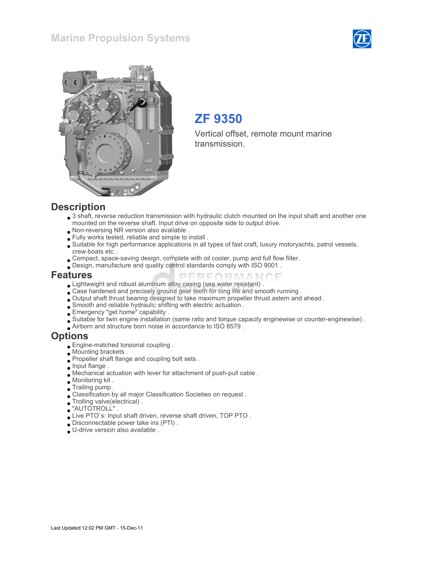## Marine Propulsion Systems





# ZF 9350

Vertical offset, remote mount marine transmission.

#### **Description**

- 3 shaft, reverse reduction transmission with hydraulic clutch mounted on the input shaft and another one mounted on the reverse shaft. Input drive on opposite side to output drive.
- Non-reversing NR version also available .
- Fully works tested, reliable and simple to install .
- Suitable for high performance applications in all types of fast craft, luxury motoryachts, patrol vessels, crew-boats etc .

PERFORMANCE

- Compact, space-saving design, complete with oil cooler, pump and full flow filter.
- Design, manufacture and quality control standards comply with ISO 9001 .

#### Features

- Lightweight and robust aluminum alloy casing (sea water resistant) .
- Case hardened and precisely ground gear teeth for long life and smooth running .
- Output shaft thrust bearing designed to take maximum propeller thrust astern and ahead .
- Smooth and reliable hydraulic shifting with electric actuation .
- Emergency "get home" capability .
- Suitable for twin engine installation (same ratio and torque capacity enginewise or counter-enginewise) .
- Airborn and structure born noise in accordance to ISO 8579 .

#### Options

- Engine-matched torsional coupling .
- Mounting brackets .
- Propeller shaft flange and coupling bolt sets .
- **Input flange**.
- Mechanical actuation with lever for attachment of push-pull cable .
- Monitoring kit .
- Trailing pump .
- Classification by all major Classification Societies on request .
- Trolling valve(electrical) .
- "AUTOTROLL" .
- Live PTO`s: Input shaft driven, reverse shaft driven, TOP PTO .
- Disconnectable power take ins (PTI) .
- U-drive version also available .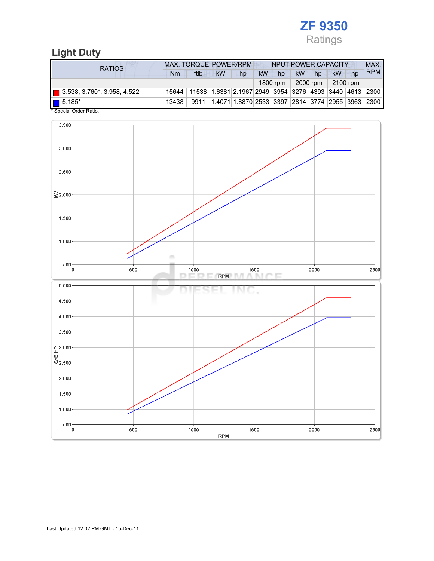

## Light Duty

| <b>RATIOS</b>                      | <b>MAX. TORQUE POWER/RPM</b><br><b>INPUT POWER CAPACITY</b> |                                                                                  |           |                                                  |           |          |                 |                  |          |    | MAX.       |
|------------------------------------|-------------------------------------------------------------|----------------------------------------------------------------------------------|-----------|--------------------------------------------------|-----------|----------|-----------------|------------------|----------|----|------------|
|                                    | Nm                                                          | ftlb                                                                             | <b>kW</b> | hp                                               | <b>kW</b> | hp       | kW <sup>1</sup> | hp               | kW       | hp | <b>RPM</b> |
|                                    |                                                             |                                                                                  |           |                                                  |           | 1800 rpm |                 | 2000 rpm $\vert$ | 2100 rpm |    |            |
| $\Box$ 3.538, 3.760*, 3.958, 4.522 |                                                             | 15644   11538   1.6381   2.1967   2949   3954   3276   4393   3440   4613   2300 |           |                                                  |           |          |                 |                  |          |    |            |
| $\boxed{\blacksquare}$ 5.185*      | 13438                                                       | 9911                                                                             |           | 1.4071 1.8870 2533 3397 2814 3774 2955 3963 2300 |           |          |                 |                  |          |    |            |
| * Special Order Ratio.             |                                                             |                                                                                  |           |                                                  |           |          |                 |                  |          |    |            |

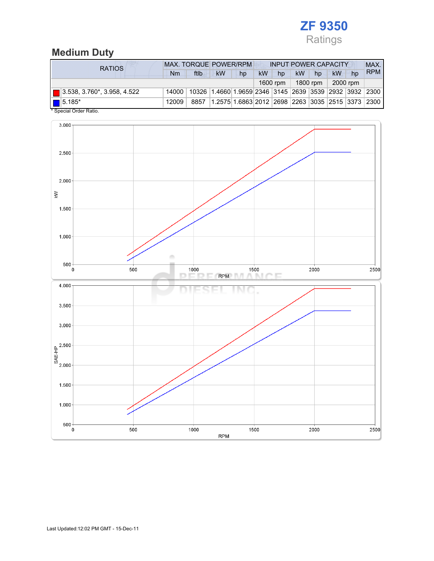

## Medium Duty

| <b>RATIOS</b>                           |       | <b>MAX. TORQUE POWER/RPM</b> |                                                        |                                                  | <b>INPUT POWER CAPACITY</b> |          |           |          |    |          | MAX.       |
|-----------------------------------------|-------|------------------------------|--------------------------------------------------------|--------------------------------------------------|-----------------------------|----------|-----------|----------|----|----------|------------|
|                                         | Nm    | ftlb                         | <b>kW</b>                                              | hp                                               | <b>kW</b>                   | hp       | <b>kW</b> | hp       | kW | hp       | <b>RPM</b> |
|                                         |       |                              |                                                        |                                                  |                             | 1600 rpm |           | 1800 rpm |    | 2000 rpm |            |
| $\boxed{ }$ 3.538, 3.760*, 3.958, 4.522 | 14000 |                              | 10326 1.4660 1.9659 2346 3145 2639 3539 2932 3932 2300 |                                                  |                             |          |           |          |    |          |            |
| $\blacksquare$ 5.185*                   | 12009 | 8857                         |                                                        | 1.2575 1.6863 2012 2698 2263 3035 2515 3373 2300 |                             |          |           |          |    |          |            |
| * Special Order Ratio.                  |       |                              |                                                        |                                                  |                             |          |           |          |    |          |            |

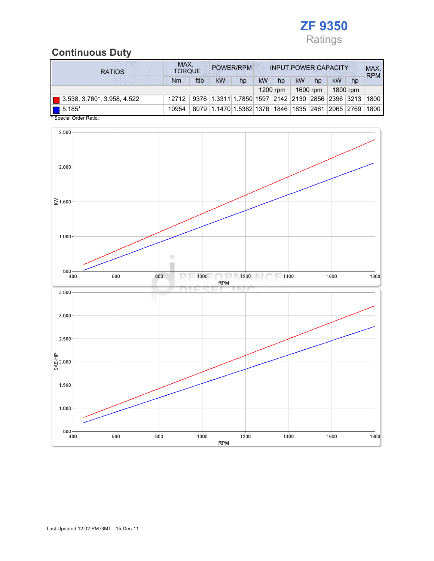

## Continuous Duty

| <b>RATIOS</b>                              | MAX.<br>POWER/RPM<br><b>INPUT POWER CAPACITY</b><br><b>TORQUE</b> |      |                                                  |    |           |            |    |          | MAX.<br><b>RPM</b> |          |      |
|--------------------------------------------|-------------------------------------------------------------------|------|--------------------------------------------------|----|-----------|------------|----|----------|--------------------|----------|------|
|                                            | Nm                                                                | ftlb | kW                                               | hp | <b>kW</b> | hp         | kW | hp       | kW                 | hp       |      |
|                                            |                                                                   |      |                                                  |    |           | $1200$ rpm |    | 1600 rpm |                    | 1800 rpm |      |
| $\blacksquare$ 3.538, 3.760*, 3.958, 4.522 | 12712                                                             |      | 9376 1.3311 1.7850 1597 2142 2130 2856 2396 3213 |    |           |            |    |          |                    |          | 1800 |
| $15.185*$                                  | 10954                                                             |      | 8079 1.1470 1.5382 1376 1846 1835 2461 2065 2769 |    |           |            |    |          |                    |          | 1800 |



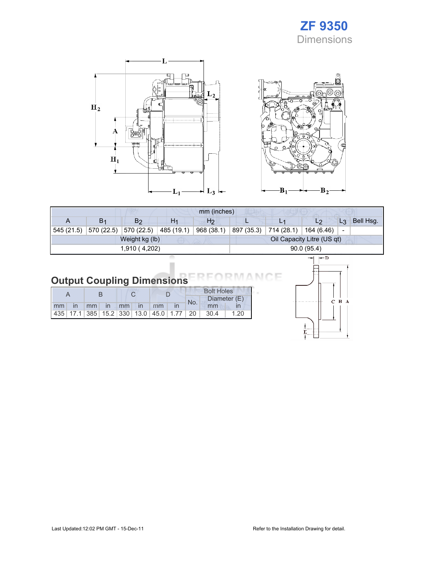# ZF 9350 **Dimensions**





|               |                |                |                | mm (inches)    |                            |                                     |    |       |           |
|---------------|----------------|----------------|----------------|----------------|----------------------------|-------------------------------------|----|-------|-----------|
| A             | B <sub>1</sub> | B <sub>2</sub> | H <sub>1</sub> | H <sub>2</sub> |                            |                                     | L2 | $L_3$ | Bell Hsg. |
| 545 (21.5)    | 570 (22.5)     | 570 (22.5)     | 485 (19.1)     | 968 (38.1)     | 897 (35.3)                 | $\mid$ 714 (28.1) $\mid$ 164 (6.46) |    | -     |           |
|               |                | Weight kg (lb) |                |                | Oil Capacity Litre (US qt) |                                     |    |       |           |
| 1,910 (4,202) |                |                |                |                | 90.0(95.4)                 |                                     |    |       |           |
|               |                |                |                |                | — n<br>-                   |                                     |    |       |           |

#### **Output Coupling Dimensions** Е

|  |  |  |                       |  | <b>Bolt Holes</b> |                                                                |      |  |
|--|--|--|-----------------------|--|-------------------|----------------------------------------------------------------|------|--|
|  |  |  |                       |  | No.               | Diameter (E)                                                   |      |  |
|  |  |  | Imm in mm in mm in mm |  |                   | mm                                                             |      |  |
|  |  |  |                       |  |                   | 435   17.1   385   15.2   330   13.0   45.0   1.77   20   30.4 | 1.20 |  |